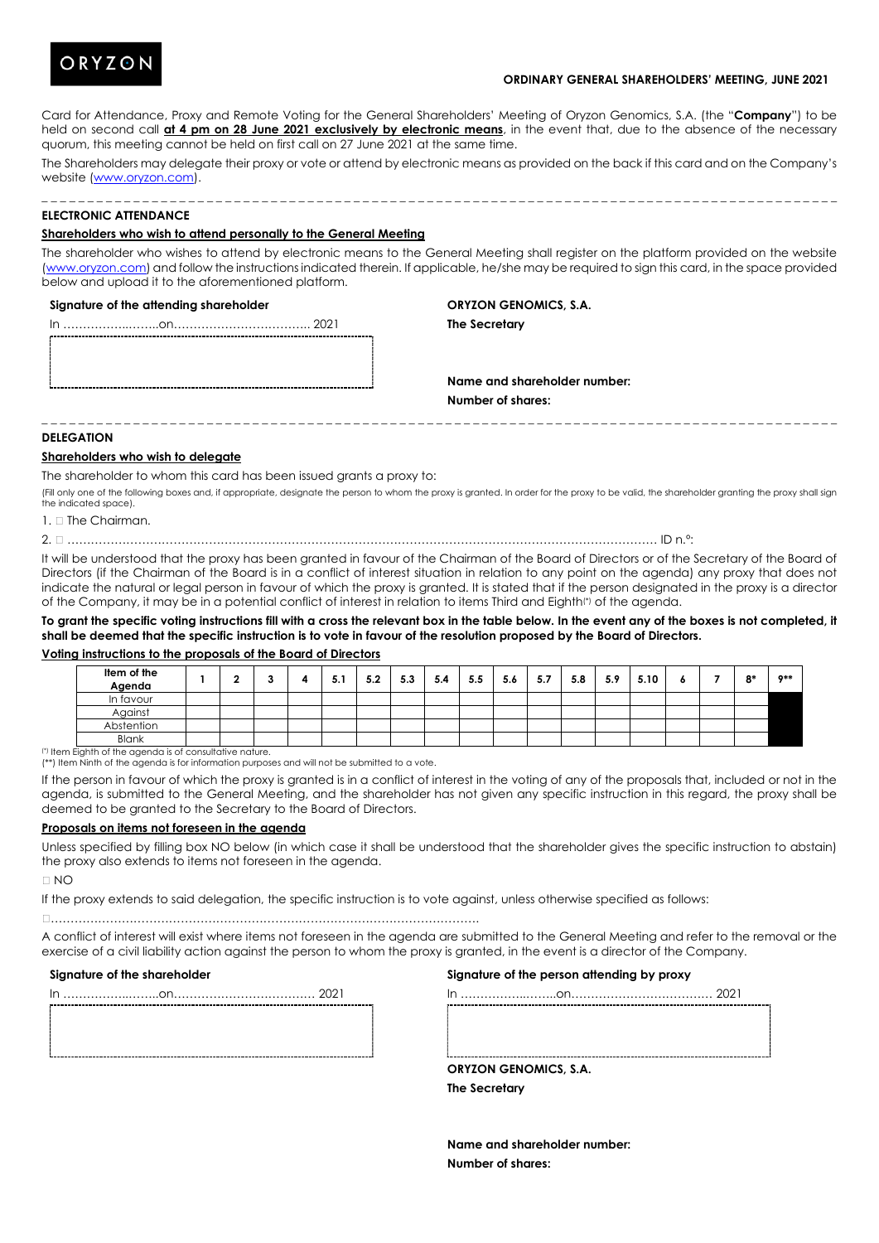

## **ORDINARY GENERAL SHAREHOLDERS' MEETING, JUNE 2021**

Card for Attendance, Proxy and Remote Voting for the General Shareholders' Meeting of Oryzon Genomics, S.A. (the "**Company**") to be held on second call **at 4 pm on 28 June 2021 exclusively by electronic means**, in the event that, due to the absence of the necessary quorum, this meeting cannot be held on first call on 27 June 2021 at the same time.

The Shareholders may delegate their proxy or vote or attend by electronic means as provided on the back if this card and on the Company's website [\(www.oryzon.com\)](http://www.oryzon.com/). \_ \_ \_ \_ \_ \_ \_ \_ \_ \_ \_ \_ \_ \_ \_ \_ \_ \_ \_ \_ \_ \_ \_ \_ \_ \_ \_ \_ \_ \_ \_ \_ \_ \_ \_ \_ \_ \_ \_ \_ \_ \_ \_ \_ \_ \_ \_ \_ \_ \_ \_ \_ \_ \_ \_ \_ \_ \_ \_ \_ \_ \_ \_ \_ \_ \_ \_ \_ \_ \_ \_ \_ \_ \_ \_ \_ \_ \_ \_ \_ \_ \_ \_ \_ \_ \_ \_

# **ELECTRONIC ATTENDANCE**

#### **Shareholders who wish to attend personally to the General Meeting**

The shareholder who wishes to attend by electronic means to the General Meeting shall register on the platform provided on the website [\(www.oryzon.com\)](http://www.oryzon.com/) and follow the instructions indicated therein. If applicable, he/she may be required to sign this card, in the space provided below and upload it to the aforementioned platform.

#### **Signature of the attending shareholder**

**ORYZON GENOMICS, S.A.**

**The Secretary**

In ……………..……..on…………………………….. 2021

**Name and shareholder number: Number of shares:**

# **DELEGATION**

## **Shareholders who wish to delegate**

The shareholder to whom this card has been issued grants a proxy to:

(Fill only one of the following boxes and, if appropriate, designate the person to whom the proxy is granted. In order for the proxy to be valid, the shareholder granting the proxy shall sign the indicated space).

\_ \_ \_ \_ \_ \_ \_ \_ \_ \_ \_ \_ \_ \_ \_ \_ \_ \_ \_ \_ \_ \_ \_ \_ \_ \_ \_ \_ \_ \_ \_ \_ \_ \_ \_ \_ \_ \_ \_ \_ \_ \_ \_ \_ \_ \_ \_ \_ \_ \_ \_ \_ \_ \_ \_ \_ \_ \_ \_ \_ \_ \_ \_ \_ \_ \_ \_ \_ \_ \_ \_ \_ \_ \_ \_ \_ \_ \_ \_ \_ \_ \_ \_ \_ \_ \_ \_

 $1$ . The Chairman.

2. …………………………………………………………………………………………………………………………………… ID n.º:

It will be understood that the proxy has been granted in favour of the Chairman of the Board of Directors or of the Secretary of the Board of Directors (if the Chairman of the Board is in a conflict of interest situation in relation to any point on the agenda) any proxy that does not indicate the natural or legal person in favour of which the proxy is granted. It is stated that if the person designated in the proxy is a director of the Company, it may be in a potential conflict of interest in relation to items Third and Eighth(\*) of the agenda.

**To grant the specific voting instructions fill with a cross the relevant box in the table below. In the event any of the boxes is not completed, it shall be deemed that the specific instruction is to vote in favour of the resolution proposed by the Board of Directors.**

## **Voting instructions to the proposals of the Board of Directors**

| Item of the<br>Agenda                                    |  |  | 5.1 | 5.2 | 5.3 | 5.4 | 5.5 | 5.6 | 5.7 | 5.8 | 5.9 | 5.10 |  | $^{\circ}$ | $0**$ |
|----------------------------------------------------------|--|--|-----|-----|-----|-----|-----|-----|-----|-----|-----|------|--|------------|-------|
| In favour                                                |  |  |     |     |     |     |     |     |     |     |     |      |  |            |       |
| Against                                                  |  |  |     |     |     |     |     |     |     |     |     |      |  |            |       |
| Abstention                                               |  |  |     |     |     |     |     |     |     |     |     |      |  |            |       |
| <b>Blank</b>                                             |  |  |     |     |     |     |     |     |     |     |     |      |  |            |       |
| (*) Item Eighth of the agenda is of consultative nature. |  |  |     |     |     |     |     |     |     |     |     |      |  |            |       |

(\*\*) Item Ninth of the agenda is for information purposes and will not be submitted to a vote.

If the person in favour of which the proxy is granted is in a conflict of interest in the voting of any of the proposals that, included or not in the agenda, is submitted to the General Meeting, and the shareholder has not given any specific instruction in this regard, the proxy shall be deemed to be granted to the Secretary to the Board of Directors.

#### **Proposals on items not foreseen in the agenda**

Unless specified by filling box NO below (in which case it shall be understood that the shareholder gives the specific instruction to abstain) the proxy also extends to items not foreseen in the agenda.

 $\Box$  NO

If the proxy extends to said delegation, the specific instruction is to vote against, unless otherwise specified as follows:

#### ……………………………………………………………………………………………….

A conflict of interest will exist where items not foreseen in the agenda are submitted to the General Meeting and refer to the removal or the exercise of a civil liability action against the person to whom the proxy is granted, in the event is a director of the Company.

#### **Signature of the shareholder**

In ……………..……..on……………………………… 2021

# **Signature of the person attending by proxy**

In ……………..……..on……………………………… 2021

| <b>ORYZON GENOMICS, S.A.</b> |  |
|------------------------------|--|

**The Secretary**

**Name and shareholder number: Number of shares:**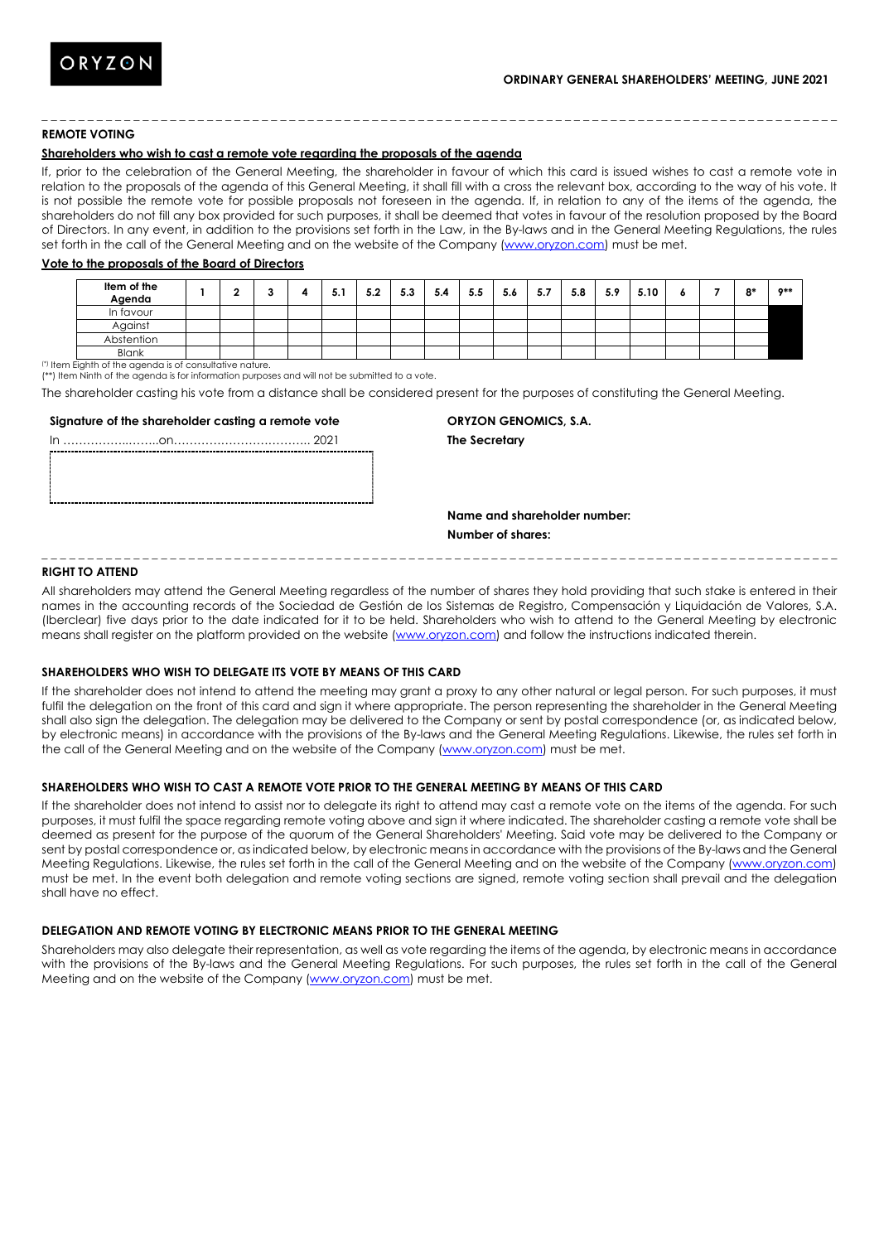# **REMOTE VOTING**

# **Shareholders who wish to cast a remote vote regarding the proposals of the agenda**

If, prior to the celebration of the General Meeting, the shareholder in favour of which this card is issued wishes to cast a remote vote in relation to the proposals of the agenda of this General Meeting, it shall fill with a cross the relevant box, according to the way of his vote. It is not possible the remote vote for possible proposals not foreseen in the agenda. If, in relation to any of the items of the agenda, the shareholders do not fill any box provided for such purposes, it shall be deemed that votes in favour of the resolution proposed by the Board of Directors. In any event, in addition to the provisions set forth in the Law, in the By-laws and in the General Meeting Regulations, the rules set forth in the call of the General Meeting and on the website of the Company [\(www.oryzon.com\)](http://www.oryzon.com/) must be met.

\_ \_ \_ \_ \_ \_ \_ \_ \_ \_ \_ \_ \_ \_ \_ \_ \_ \_ \_ \_ \_ \_ \_ \_ \_ \_ \_ \_ \_ \_ \_ \_ \_ \_ \_ \_ \_ \_ \_ \_ \_ \_ \_ \_ \_ \_ \_ \_ \_ \_ \_ \_ \_ \_ \_ \_ \_ \_ \_ \_ \_ \_ \_ \_ \_ \_ \_ \_ \_ \_ \_ \_ \_ \_ \_ \_ \_ \_ \_ \_ \_ \_ \_ \_ \_ \_ \_

#### **Vote to the proposals of the Board of Directors**

| Item of the<br>Agenda |  |  | 5.1 | 5.2 | 5.3 | 5.4 | 5.5 | 5.6 | 5.7 | 5.8 | 5.9 | 5.10 | $\bullet$ | $^{\circ}$ | $0**$ |
|-----------------------|--|--|-----|-----|-----|-----|-----|-----|-----|-----|-----|------|-----------|------------|-------|
| In favour             |  |  |     |     |     |     |     |     |     |     |     |      |           |            |       |
| Against               |  |  |     |     |     |     |     |     |     |     |     |      |           |            |       |
| Abstention            |  |  |     |     |     |     |     |     |     |     |     |      |           |            |       |
| Blank                 |  |  |     |     |     |     |     |     |     |     |     |      |           |            |       |

(\*) Item Eighth of the agenda is of consultative nature.

(\*\*) Item Ninth of the agenda is for information purposes and will not be submitted to a vote.

The shareholder casting his vote from a distance shall be considered present for the purposes of constituting the General Meeting.

#### **Signature of the shareholder casting a remote vote**

## **ORYZON GENOMICS, S.A.**

**The Secretary**

**Name and shareholder number: Number of shares:**

\_ \_ \_ \_ \_ \_ \_ \_ \_ \_ \_ \_ \_ \_ \_ \_ \_ \_ \_ \_ \_ \_ \_ \_ \_ \_ \_ \_ \_ \_ \_ \_ \_ \_ \_ \_ \_ \_ \_ \_ \_ \_ \_ \_ \_ \_ \_ \_ \_ \_ \_ \_ \_ \_ \_ \_ \_ \_ \_ \_ \_ \_ \_ \_ \_ \_ \_ \_ \_ \_ \_ \_ \_ \_ \_ \_ \_ \_ \_ \_ \_ \_ \_ \_ \_ \_ \_

## **RIGHT TO ATTEND**

All shareholders may attend the General Meeting regardless of the number of shares they hold providing that such stake is entered in their names in the accounting records of the Sociedad de Gestión de los Sistemas de Registro, Compensación y Liquidación de Valores, S.A. (Iberclear) five days prior to the date indicated for it to be held. Shareholders who wish to attend to the General Meeting by electronic means shall register on the platform provided on the website [\(www.oryzon.com\)](http://www.oryzon.com/) and follow the instructions indicated therein.

# **SHAREHOLDERS WHO WISH TO DELEGATE ITS VOTE BY MEANS OF THIS CARD**

If the shareholder does not intend to attend the meeting may grant a proxy to any other natural or legal person. For such purposes, it must fulfil the delegation on the front of this card and sign it where appropriate. The person representing the shareholder in the General Meeting shall also sign the delegation. The delegation may be delivered to the Company or sent by postal correspondence (or, as indicated below, by electronic means) in accordance with the provisions of the By-laws and the General Meeting Regulations. Likewise, the rules set forth in the call of the General Meeting and on the website of the Company [\(www.oryzon.com\)](http://www.oryzon.com/) must be met.

## **SHAREHOLDERS WHO WISH TO CAST A REMOTE VOTE PRIOR TO THE GENERAL MEETING BY MEANS OF THIS CARD**

If the shareholder does not intend to assist nor to delegate its right to attend may cast a remote vote on the items of the agenda. For such purposes, it must fulfil the space regarding remote voting above and sign it where indicated. The shareholder casting a remote vote shall be deemed as present for the purpose of the quorum of the General Shareholders' Meeting. Said vote may be delivered to the Company or sent by postal correspondence or, as indicated below, by electronic means in accordance with the provisions of the By-laws and the General Meeting Regulations. Likewise, the rules set forth in the call of the General Meeting and on the website of the Company [\(www.oryzon.com\)](http://www.oryzon.com/) must be met. In the event both delegation and remote voting sections are signed, remote voting section shall prevail and the delegation shall have no effect.

#### **DELEGATION AND REMOTE VOTING BY ELECTRONIC MEANS PRIOR TO THE GENERAL MEETING**

Shareholders may also delegate their representation, as well as vote regarding the items of the agenda, by electronic means in accordance with the provisions of the By-laws and the General Meeting Regulations. For such purposes, the rules set forth in the call of the General Meeting and on the website of the Company [\(www.oryzon.com\)](http://www.oryzon.com/) must be met.